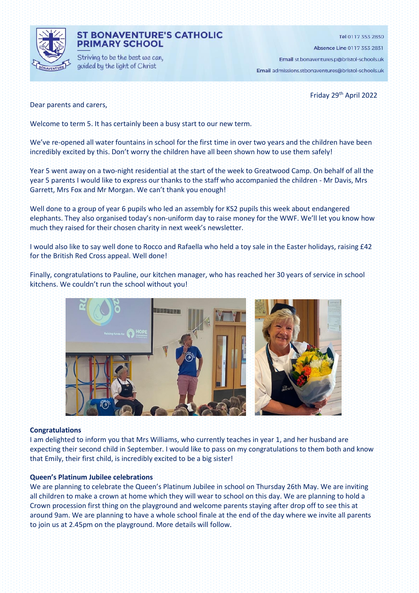

### **ST BONAVENTURE'S CATHOLIC PRIMARY SCHOOL**

Striving to be the best we can, guided by the light of Christ

Tel 0117 353 2830 Absence Line 0117 353 2831

Email st.bonaventures.p@bristol-schools.uk Email admissions.stbonaventures@bristol-schools.uk

Friday 29th April 2022

Dear parents and carers,

Welcome to term 5. It has certainly been a busy start to our new term.

We've re-opened all water fountains in school for the first time in over two years and the children have been incredibly excited by this. Don't worry the children have all been shown how to use them safely!

Year 5 went away on a two-night residential at the start of the week to Greatwood Camp. On behalf of all the year 5 parents I would like to express our thanks to the staff who accompanied the children - Mr Davis, Mrs Garrett, Mrs Fox and Mr Morgan. We can't thank you enough!

Well done to a group of year 6 pupils who led an assembly for KS2 pupils this week about endangered elephants. They also organised today's non-uniform day to raise money for the WWF. We'll let you know how much they raised for their chosen charity in next week's newsletter.

I would also like to say well done to Rocco and Rafaella who held a toy sale in the Easter holidays, raising £42 for the British Red Cross appeal. Well done!

Finally, congratulations to Pauline, our kitchen manager, who has reached her 30 years of service in school kitchens. We couldn't run the school without you!



#### **Congratulations**

I am delighted to inform you that Mrs Williams, who currently teaches in year 1, and her husband are expecting their second child in September. I would like to pass on my congratulations to them both and know that Emily, their first child, is incredibly excited to be a big sister!

### **Queen's Platinum Jubilee celebrations**

We are planning to celebrate the Queen's Platinum Jubilee in school on Thursday 26th May. We are inviting all children to make a crown at home which they will wear to school on this day. We are planning to hold a Crown procession first thing on the playground and welcome parents staying after drop off to see this at around 9am. We are planning to have a whole school finale at the end of the day where we invite all parents to join us at 2.45pm on the playground. More details will follow.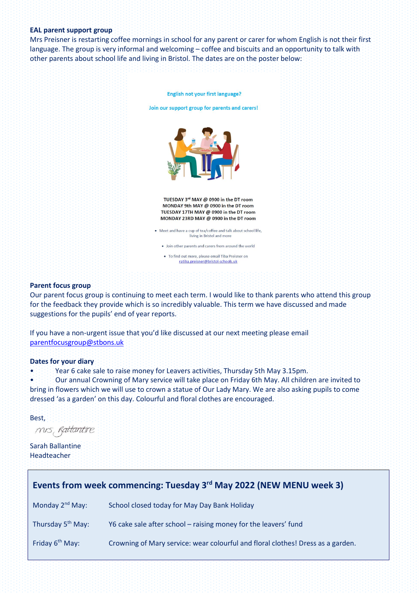#### **EAL parent support group**

Mrs Preisner is restarting coffee mornings in school for any parent or carer for whom English is not their first language. The group is very informal and welcoming – coffee and biscuits and an opportunity to talk with other parents about school life and living in Bristol. The dates are on the poster below:



#### **Parent focus group**

Our parent focus group is continuing to meet each term. I would like to thank parents who attend this group for the feedback they provide which is so incredibly valuable. This term we have discussed and made suggestions for the pupils' end of year reports.

If you have a non-urgent issue that you'd like discussed at our next meeting please email [parentfocusgroup@stbons.uk](mailto:parentfocusgroup@stbons.uk)

#### **Dates for your diary**

• Year 6 cake sale to raise money for Leavers activities, Thursday 5th May 3.15pm.

• Our annual Crowning of Mary service will take place on Friday 6th May. All children are invited to bring in flowers which we will use to crown a statue of Our Lady Mary. We are also asking pupils to come dressed 'as a garden' on this day. Colourful and floral clothes are encouraged.

Best,

mis, Rattantire

Sarah Ballantine Headteacher

| Events from week commencing: Tuesday 3rd May 2022 (NEW MENU week 3) |                                                                                 |
|---------------------------------------------------------------------|---------------------------------------------------------------------------------|
| Monday $2^{nd}$ May:                                                | School closed today for May Day Bank Holiday                                    |
| Thursday 5 <sup>th</sup> May:                                       | Y6 cake sale after school - raising money for the leavers' fund                 |
| Friday 6 <sup>th</sup> May:                                         | Crowning of Mary service: wear colourful and floral clothes! Dress as a garden. |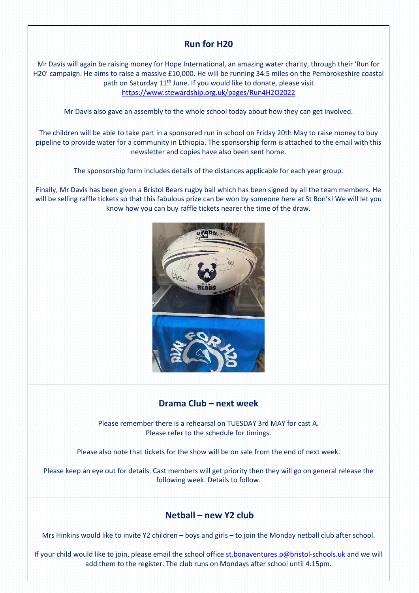# **Run for H20**

Mr Davis will again be raising money for Hope International, an amazing water charity, through their 'Run for H20' campaign. He aims to raise a massive £10,000. He will be running 34.5 miles on the Pembrokeshire coastal path on Saturday 11<sup>th</sup> June. If you would like to donate, please visit <https://www.stewardship.org.uk/pages/Run4H2O2022>

Mr Davis also gave an assembly to the whole school today about how they can get involved.

The children will be able to take part in a sponsored run in school on Friday 20th May to raise money to buy pipeline to provide water for a community in Ethiopia. The sponsorship form is attached to the email with this newsletter and copies have also been sent home.

The sponsorship form includes details of the distances applicable for each year group.

Finally, Mr Davis has been given a Bristol Bears rugby ball which has been signed by all the team members. He will be selling raffle tickets so that this fabulous prize can be won by someone here at St Bon's! We will let you know how you can buy raffle tickets nearer the time of the draw.



## **Drama Club – next week**

Please remember there is a rehearsal on TUESDAY 3rd MAY for cast A. Please refer to the schedule for timings.

Please also note that tickets for the show will be on sale from the end of next week.

Please keep an eye out for details. Cast members will get priority then they will go on general release the following week. Details to follow.

## **Netball – new Y2 club**

Mrs Hinkins would like to invite Y2 children – boys and girls – to join the Monday netball club after school.

If your child would like to join, please email the school office [st.bonaventures.p@bristol-schools.uk](mailto:st.bonaventures.p@bristol-schools.uk) and we will add them to the register. The club runs on Mondays after school until 4.15pm.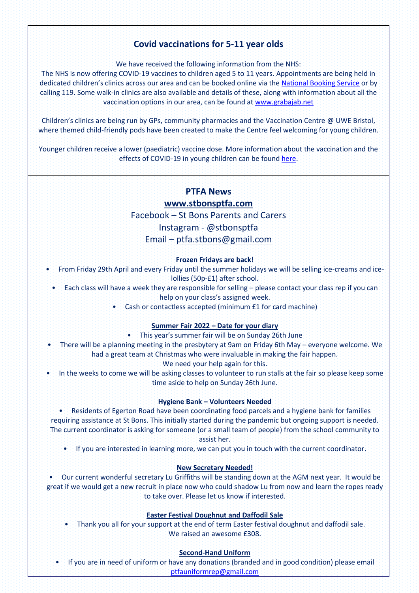# **Covid vaccinations for 5-11 year olds**

We have received the following information from the NHS:

The NHS is now offering COVID-19 vaccines to children aged 5 to 11 years. Appointments are being held in dedicated children's clinics across our area and can be booked online via the [National Booking Service](https://www.nhs.uk/conditions/coronavirus-covid-19/coronavirus-vaccination/book-coronavirus-vaccination/) or by calling 119. Some walk-in clinics are also available and details of these, along with information about all the vaccination options in our area, can be found a[t www.grabajab.net](http://www.grabajab.net/)

Children's clinics are being run by GPs, community pharmacies and the Vaccination Centre @ UWE Bristol, where themed child-friendly pods have been created to make the Centre feel welcoming for young children.

Younger children receive a lower (paediatric) vaccine dose. More information about the vaccination and the effects of COVID-19 in young children can be found [here.](https://www.gov.uk/government/publications/covid-19-vaccination-resources-for-children-aged-5-to-11-years)

## **PTFA News**

### **[www.stbonsptfa.com](file:///C:/Users/sophi/Documents/Personal/PTFA/www.stbonsptfa.com)**

Facebook – St Bons Parents and Carers

Instagram - @stbonsptfa

## Email – [ptfa.stbons@gmail.com](mailto:ptfa.stbons@gmail.com)

### **Frozen Fridays are back!**

- From Friday 29th April and every Friday until the summer holidays we will be selling ice-creams and icelollies (50p-£1) after school.
	- Each class will have a week they are responsible for selling please contact your class rep if you can help on your class's assigned week.
		- Cash or contactless accepted (minimum £1 for card machine)

### **Summer Fair 2022 – Date for your diary**

- This year's summer fair will be on Sunday 26th June
- There will be a planning meeting in the presbytery at 9am on Friday 6th May everyone welcome. We had a great team at Christmas who were invaluable in making the fair happen.
	- We need your help again for this.
- In the weeks to come we will be asking classes to volunteer to run stalls at the fair so please keep some time aside to help on Sunday 26th June.

#### **Hygiene Bank – Volunteers Needed**

• Residents of Egerton Road have been coordinating food parcels and a hygiene bank for families requiring assistance at St Bons. This initially started during the pandemic but ongoing support is needed. The current coordinator is asking for someone (or a small team of people) from the school community to assist her.

• If you are interested in learning more, we can put you in touch with the current coordinator.

#### **New Secretary Needed!**

• Our current wonderful secretary Lu Griffiths will be standing down at the AGM next year. It would be great if we would get a new recruit in place now who could shadow Lu from now and learn the ropes ready to take over. Please let us know if interested.

#### **Easter Festival Doughnut and Daffodil Sale**

• Thank you all for your support at the end of term Easter festival doughnut and daffodil sale. We raised an awesome £308.

#### **Second-Hand Uniform**

• If you are in need of uniform or have any donations (branded and in good condition) please email [ptfauniformrep@gmail.com](mailto:ptfauniformrep@gmail.com)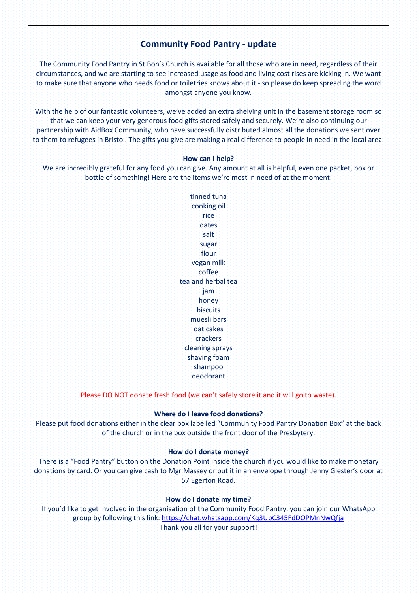## **Community Food Pantry - update**

The Community Food Pantry in St Bon's Church is available for all those who are in need, regardless of their circumstances, and we are starting to see increased usage as food and living cost rises are kicking in. We want to make sure that anyone who needs food or toiletries knows about it - so please do keep spreading the word amongst anyone you know.

With the help of our fantastic volunteers, we've added an extra shelving unit in the basement storage room so that we can keep your very generous food gifts stored safely and securely. We're also continuing our partnership with AidBox Community, who have successfully distributed almost all the donations we sent over to them to refugees in Bristol. The gifts you give are making a real difference to people in need in the local area.

#### **How can I help?**

We are incredibly grateful for any food you can give. Any amount at all is helpful, even one packet, box or bottle of something! Here are the items we're most in need of at the moment:

> tinned tuna cooking oil rice dates salt sugar flour vegan milk coffee tea and herbal tea jam honey biscuits muesli bars oat cakes crackers cleaning sprays shaving foam shampoo deodorant

Please DO NOT donate fresh food (we can't safely store it and it will go to waste).

### **Where do I leave food donations?**

Please put food donations either in the clear box labelled "Community Food Pantry Donation Box" at the back of the church or in the box outside the front door of the Presbytery.

#### **How do I donate money?**

There is a "Food Pantry" button on the Donation Point inside the church if you would like to make monetary donations by card. Or you can give cash to Mgr Massey or put it in an envelope through Jenny Glester's door at 57 Egerton Road.

### **How do I donate my time?**

If you'd like to get involved in the organisation of the Community Food Pantry, you can join our WhatsApp group by following this link:<https://chat.whatsapp.com/Kq3UpC345FdDOPMnNwQfja> Thank you all for your support!